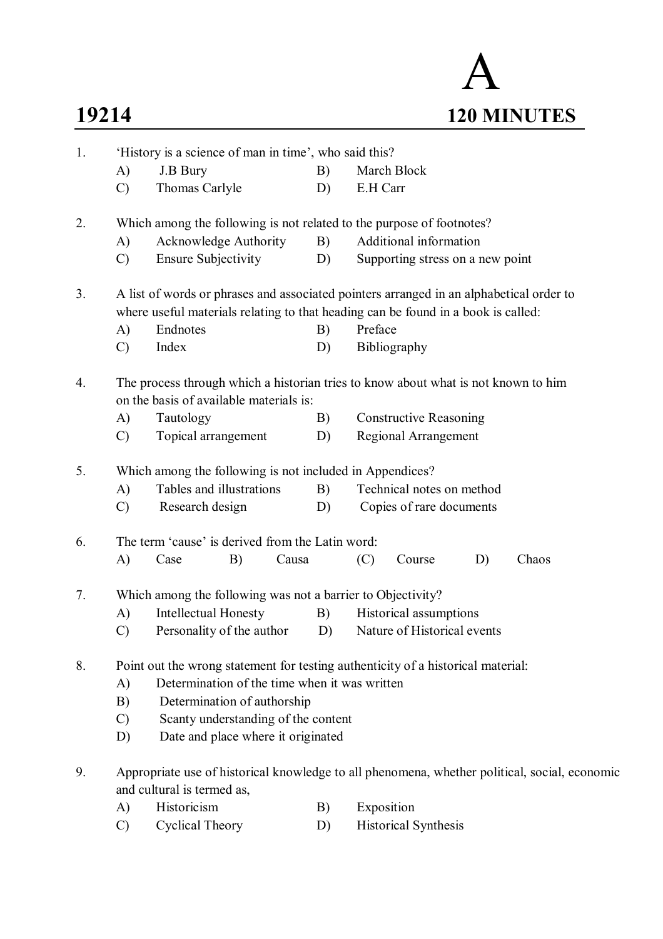

| 1. | 'History is a science of man in time', who said this?                                                                         |                                                             |    |       |    |            |                                                                                   |    |                                                                                         |  |  |
|----|-------------------------------------------------------------------------------------------------------------------------------|-------------------------------------------------------------|----|-------|----|------------|-----------------------------------------------------------------------------------|----|-----------------------------------------------------------------------------------------|--|--|
|    | A)                                                                                                                            | J.B Bury                                                    |    |       | B) |            | March Block                                                                       |    |                                                                                         |  |  |
|    | $\mathcal{C}$                                                                                                                 | Thomas Carlyle                                              |    |       | D) | E.H Carr   |                                                                                   |    |                                                                                         |  |  |
| 2. |                                                                                                                               |                                                             |    |       |    |            | Which among the following is not related to the purpose of footnotes?             |    |                                                                                         |  |  |
|    | A)                                                                                                                            | Acknowledge Authority                                       |    |       | B) |            | Additional information                                                            |    |                                                                                         |  |  |
|    | $\mathcal{C}$                                                                                                                 | <b>Ensure Subjectivity</b>                                  |    |       | D) |            | Supporting stress on a new point                                                  |    |                                                                                         |  |  |
| 3. |                                                                                                                               |                                                             |    |       |    |            | where useful materials relating to that heading can be found in a book is called: |    | A list of words or phrases and associated pointers arranged in an alphabetical order to |  |  |
|    | A)                                                                                                                            | Endnotes                                                    |    |       | B) | Preface    |                                                                                   |    |                                                                                         |  |  |
|    | $\mathcal{C}$                                                                                                                 | Index                                                       |    |       | D) |            | Bibliography                                                                      |    |                                                                                         |  |  |
| 4. | The process through which a historian tries to know about what is not known to him<br>on the basis of available materials is: |                                                             |    |       |    |            |                                                                                   |    |                                                                                         |  |  |
|    | A)                                                                                                                            | Tautology                                                   |    |       | B) |            | <b>Constructive Reasoning</b>                                                     |    |                                                                                         |  |  |
|    | $\mathcal{C}$                                                                                                                 | Topical arrangement                                         |    |       | D) |            | Regional Arrangement                                                              |    |                                                                                         |  |  |
| 5. |                                                                                                                               | Which among the following is not included in Appendices?    |    |       |    |            |                                                                                   |    |                                                                                         |  |  |
|    | A)                                                                                                                            | Tables and illustrations                                    |    |       | B) |            | Technical notes on method                                                         |    |                                                                                         |  |  |
|    | $\mathcal{C}$                                                                                                                 | Research design                                             |    |       | D) |            | Copies of rare documents                                                          |    |                                                                                         |  |  |
| 6. |                                                                                                                               | The term 'cause' is derived from the Latin word:            |    |       |    |            |                                                                                   |    |                                                                                         |  |  |
|    | A)                                                                                                                            | Case                                                        | B) | Causa |    | (C)        | Course                                                                            | D) | Chaos                                                                                   |  |  |
| 7. |                                                                                                                               | Which among the following was not a barrier to Objectivity? |    |       |    |            |                                                                                   |    |                                                                                         |  |  |
|    | A)                                                                                                                            | <b>Intellectual Honesty</b>                                 |    |       | B) |            | Historical assumptions                                                            |    |                                                                                         |  |  |
|    | $\mathcal{C}$                                                                                                                 | Personality of the author                                   |    |       | D) |            | Nature of Historical events                                                       |    |                                                                                         |  |  |
| 8. |                                                                                                                               |                                                             |    |       |    |            | Point out the wrong statement for testing authenticity of a historical material:  |    |                                                                                         |  |  |
|    | A)                                                                                                                            | Determination of the time when it was written               |    |       |    |            |                                                                                   |    |                                                                                         |  |  |
|    | B)                                                                                                                            | Determination of authorship                                 |    |       |    |            |                                                                                   |    |                                                                                         |  |  |
|    | Scanty understanding of the content<br>$\mathcal{C}$                                                                          |                                                             |    |       |    |            |                                                                                   |    |                                                                                         |  |  |
|    | D)                                                                                                                            | Date and place where it originated                          |    |       |    |            |                                                                                   |    |                                                                                         |  |  |
| 9. | Appropriate use of historical knowledge to all phenomena, whether political, social, economic<br>and cultural is termed as,   |                                                             |    |       |    |            |                                                                                   |    |                                                                                         |  |  |
|    | A)                                                                                                                            | Historicism                                                 |    |       | B) | Exposition |                                                                                   |    |                                                                                         |  |  |
|    | $\mathcal{C}$                                                                                                                 | <b>Cyclical Theory</b>                                      |    |       | D) |            | Historical Synthesis                                                              |    |                                                                                         |  |  |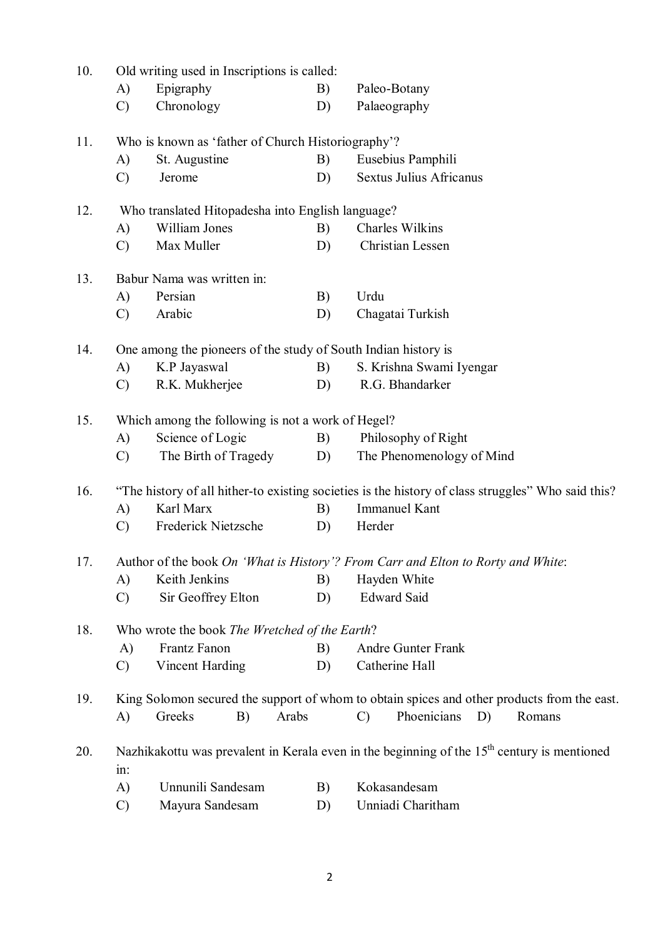| 10. | Old writing used in Inscriptions is called: |                                                                |    |                                                                                                         |  |  |  |  |  |  |  |
|-----|---------------------------------------------|----------------------------------------------------------------|----|---------------------------------------------------------------------------------------------------------|--|--|--|--|--|--|--|
|     | A)                                          | Epigraphy                                                      | B) | Paleo-Botany                                                                                            |  |  |  |  |  |  |  |
|     | $\mathcal{C}$                               | Chronology                                                     | D) | Palaeography                                                                                            |  |  |  |  |  |  |  |
| 11. |                                             | Who is known as 'father of Church Historiography'?             |    |                                                                                                         |  |  |  |  |  |  |  |
|     | A)                                          | St. Augustine                                                  | B) | Eusebius Pamphili                                                                                       |  |  |  |  |  |  |  |
|     | $\mathcal{C}$                               | Jerome                                                         | D) | <b>Sextus Julius Africanus</b>                                                                          |  |  |  |  |  |  |  |
| 12. |                                             | Who translated Hitopadesha into English language?              |    |                                                                                                         |  |  |  |  |  |  |  |
|     | A)                                          | William Jones                                                  | B) | <b>Charles Wilkins</b>                                                                                  |  |  |  |  |  |  |  |
|     | $\mathcal{C}$                               | Max Muller                                                     | D) | Christian Lessen                                                                                        |  |  |  |  |  |  |  |
| 13. |                                             | Babur Nama was written in:                                     |    |                                                                                                         |  |  |  |  |  |  |  |
|     | A)                                          | Persian                                                        | B) | Urdu                                                                                                    |  |  |  |  |  |  |  |
|     | $\mathcal{C}$                               | Arabic                                                         | D) | Chagatai Turkish                                                                                        |  |  |  |  |  |  |  |
| 14. |                                             | One among the pioneers of the study of South Indian history is |    |                                                                                                         |  |  |  |  |  |  |  |
|     | A)                                          | K.P Jayaswal                                                   | B) | S. Krishna Swami Iyengar                                                                                |  |  |  |  |  |  |  |
|     | $\mathcal{C}$                               | R.K. Mukherjee                                                 | D) | R.G. Bhandarker                                                                                         |  |  |  |  |  |  |  |
| 15. |                                             | Which among the following is not a work of Hegel?              |    |                                                                                                         |  |  |  |  |  |  |  |
|     | A)                                          | Science of Logic                                               | B) | Philosophy of Right                                                                                     |  |  |  |  |  |  |  |
|     | $\mathcal{C}$                               | The Birth of Tragedy                                           | D) | The Phenomenology of Mind                                                                               |  |  |  |  |  |  |  |
| 16. |                                             |                                                                |    | "The history of all hither-to existing societies is the history of class struggles" Who said this?      |  |  |  |  |  |  |  |
|     | A)                                          | Karl Marx                                                      | B) | <b>Immanuel Kant</b>                                                                                    |  |  |  |  |  |  |  |
|     | $\mathcal{C}$                               | Frederick Nietzsche                                            | D) | Herder                                                                                                  |  |  |  |  |  |  |  |
| 17. |                                             |                                                                |    | Author of the book On 'What is History'? From Carr and Elton to Rorty and White:                        |  |  |  |  |  |  |  |
|     | A)                                          | Keith Jenkins                                                  | B) | Hayden White                                                                                            |  |  |  |  |  |  |  |
|     | $\mathcal{C}$                               | Sir Geoffrey Elton                                             | D) | <b>Edward Said</b>                                                                                      |  |  |  |  |  |  |  |
| 18. |                                             | Who wrote the book The Wretched of the Earth?                  |    |                                                                                                         |  |  |  |  |  |  |  |
|     | A)                                          | Frantz Fanon                                                   | B) | Andre Gunter Frank                                                                                      |  |  |  |  |  |  |  |
|     | $\mathcal{C}$                               | Vincent Harding                                                | D) | Catherine Hall                                                                                          |  |  |  |  |  |  |  |
| 19. |                                             |                                                                |    | King Solomon secured the support of whom to obtain spices and other products from the east.             |  |  |  |  |  |  |  |
|     | A)                                          | Greeks<br>Arabs<br>B)                                          |    | $\mathcal{C}$<br>Phoenicians<br>D)<br>Romans                                                            |  |  |  |  |  |  |  |
| 20. | in:                                         |                                                                |    | Nazhikakottu was prevalent in Kerala even in the beginning of the 15 <sup>th</sup> century is mentioned |  |  |  |  |  |  |  |
|     | A)                                          | Unnunili Sandesam                                              | B) | Kokasandesam                                                                                            |  |  |  |  |  |  |  |
|     | $\mathcal{C}$                               | Mayura Sandesam                                                | D) | Unniadi Charitham                                                                                       |  |  |  |  |  |  |  |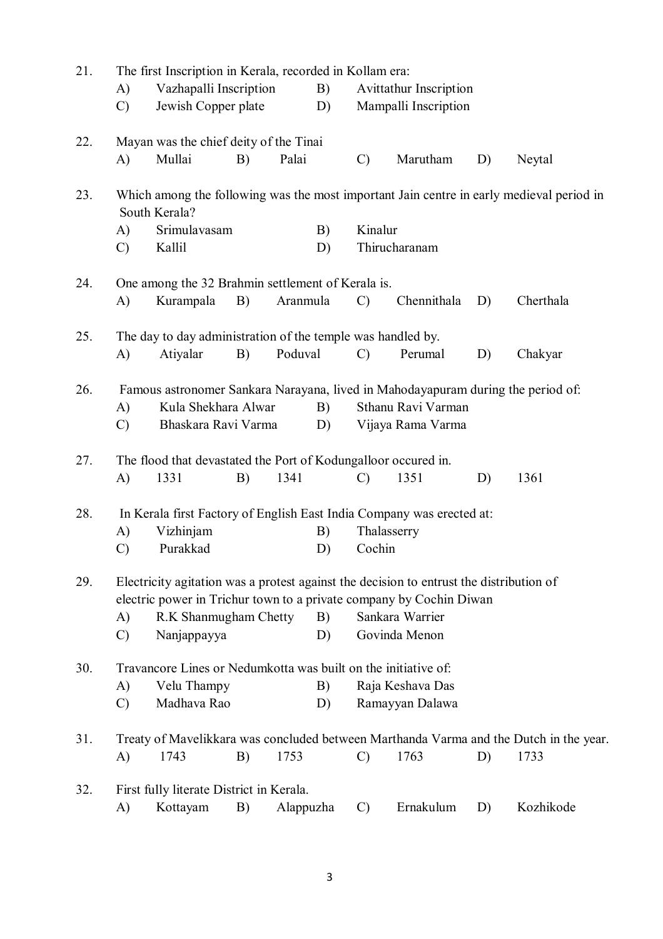| 21. | The first Inscription in Kerala, recorded in Kollam era:                         |                                                                |                                                                                          |           |          |               |                                                                                         |    |                                                                                        |  |  |
|-----|----------------------------------------------------------------------------------|----------------------------------------------------------------|------------------------------------------------------------------------------------------|-----------|----------|---------------|-----------------------------------------------------------------------------------------|----|----------------------------------------------------------------------------------------|--|--|
|     | A)                                                                               | Vazhapalli Inscription                                         |                                                                                          |           | B)       |               | <b>Avitathur Inscription</b>                                                            |    |                                                                                        |  |  |
|     | $\mathcal{C}$                                                                    | Jewish Copper plate                                            |                                                                                          |           | D)       |               | Mampalli Inscription                                                                    |    |                                                                                        |  |  |
| 22. |                                                                                  | Mayan was the chief deity of the Tinai                         |                                                                                          |           |          |               |                                                                                         |    |                                                                                        |  |  |
|     | A)                                                                               | Mullai                                                         | B)                                                                                       | Palai     |          | $\mathcal{C}$ | Marutham                                                                                | D) | Neytal                                                                                 |  |  |
| 23. |                                                                                  | South Kerala?                                                  | Which among the following was the most important Jain centre in early medieval period in |           |          |               |                                                                                         |    |                                                                                        |  |  |
|     | A)<br>$\mathcal{C}$                                                              | Srimulavasam<br>Kallil                                         |                                                                                          |           | B)<br>D) |               | Kinalur<br>Thirucharanam                                                                |    |                                                                                        |  |  |
| 24. |                                                                                  | One among the 32 Brahmin settlement of Kerala is.              |                                                                                          |           |          |               |                                                                                         |    |                                                                                        |  |  |
|     | A)                                                                               | Kurampala                                                      | B)                                                                                       | Aranmula  |          | $\mathcal{C}$ | Chennithala                                                                             | D) | Cherthala                                                                              |  |  |
| 25. | The day to day administration of the temple was handled by.                      |                                                                |                                                                                          |           |          |               |                                                                                         |    |                                                                                        |  |  |
|     | A)                                                                               | Atiyalar                                                       | B)                                                                                       | Poduval   |          | $\mathcal{C}$ | Perumal                                                                                 | D) | Chakyar                                                                                |  |  |
| 26. | Famous astronomer Sankara Narayana, lived in Mahodayapuram during the period of: |                                                                |                                                                                          |           |          |               |                                                                                         |    |                                                                                        |  |  |
|     | A)                                                                               | Kula Shekhara Alwar                                            |                                                                                          |           | B)       |               | Sthanu Ravi Varman                                                                      |    |                                                                                        |  |  |
|     | $\mathcal{C}$                                                                    | Bhaskara Ravi Varma                                            |                                                                                          |           | D)       |               | Vijaya Rama Varma                                                                       |    |                                                                                        |  |  |
| 27. |                                                                                  | The flood that devastated the Port of Kodungalloor occured in. |                                                                                          |           |          |               |                                                                                         |    |                                                                                        |  |  |
|     | A)                                                                               | 1331                                                           | B)                                                                                       | 1341      |          | $\mathcal{C}$ | 1351                                                                                    | D) | 1361                                                                                   |  |  |
| 28. |                                                                                  |                                                                |                                                                                          |           |          |               | In Kerala first Factory of English East India Company was erected at:                   |    |                                                                                        |  |  |
|     | A)                                                                               | Vizhinjam                                                      |                                                                                          |           | B)       | Thalasserry   |                                                                                         |    |                                                                                        |  |  |
|     | $\mathcal{C}$                                                                    | Purakkad                                                       |                                                                                          |           | D)       | Cochin        |                                                                                         |    |                                                                                        |  |  |
| 29. |                                                                                  |                                                                |                                                                                          |           |          |               | Electricity agitation was a protest against the decision to entrust the distribution of |    |                                                                                        |  |  |
|     |                                                                                  |                                                                |                                                                                          |           |          |               | electric power in Trichur town to a private company by Cochin Diwan                     |    |                                                                                        |  |  |
|     | $\mathbf{A}$                                                                     | R.K Shanmugham Chetty                                          |                                                                                          |           | B)       |               | Sankara Warrier                                                                         |    |                                                                                        |  |  |
|     | $\mathcal{C}$                                                                    | Nanjappayya                                                    |                                                                                          |           | D)       |               | Govinda Menon                                                                           |    |                                                                                        |  |  |
| 30. |                                                                                  | Travancore Lines or Nedumkotta was built on the initiative of: |                                                                                          |           |          |               |                                                                                         |    |                                                                                        |  |  |
|     | A)                                                                               | Velu Thampy<br>Madhava Rao                                     |                                                                                          |           | B)       |               | Raja Keshava Das                                                                        |    |                                                                                        |  |  |
|     | $\mathcal{C}$                                                                    |                                                                |                                                                                          |           | D)       |               | Ramayyan Dalawa                                                                         |    |                                                                                        |  |  |
| 31. |                                                                                  |                                                                |                                                                                          |           |          |               |                                                                                         |    | Treaty of Mavelikkara was concluded between Marthanda Varma and the Dutch in the year. |  |  |
|     | A)                                                                               | 1743                                                           | B)                                                                                       | 1753      |          | $\mathcal{C}$ | 1763                                                                                    | D) | 1733                                                                                   |  |  |
| 32. | First fully literate District in Kerala.                                         |                                                                |                                                                                          |           |          |               |                                                                                         |    |                                                                                        |  |  |
|     | A)                                                                               | Kottayam                                                       | B)                                                                                       | Alappuzha |          | $\mathcal{C}$ | Ernakulum                                                                               | D) | Kozhikode                                                                              |  |  |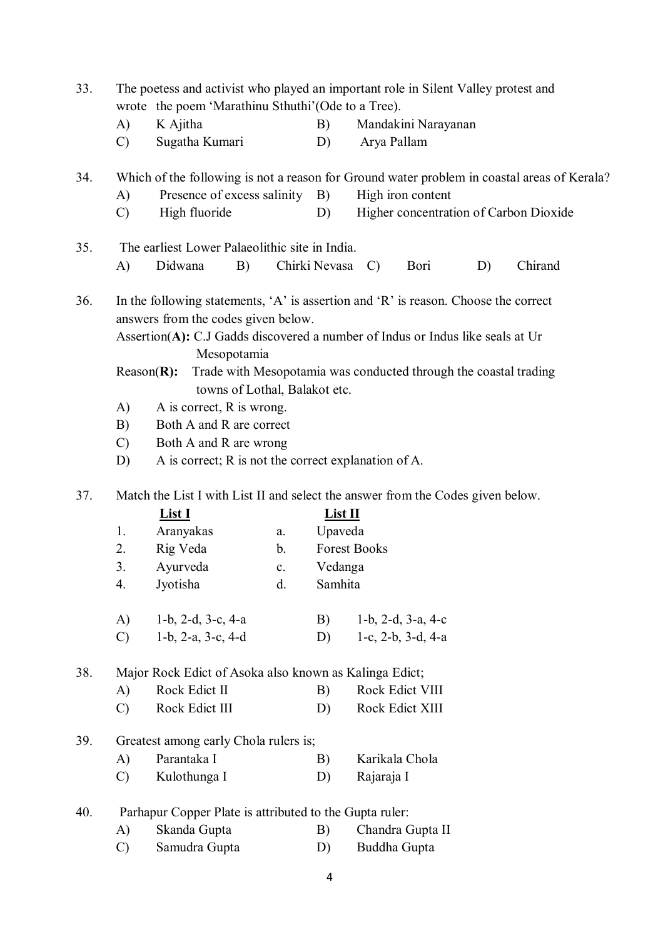| 33. | The poetess and activist who played an important role in Silent Valley protest and |                                                                                               |                |               |                     |                                        |    |         |  |  |  |  |
|-----|------------------------------------------------------------------------------------|-----------------------------------------------------------------------------------------------|----------------|---------------|---------------------|----------------------------------------|----|---------|--|--|--|--|
|     |                                                                                    | wrote the poem 'Marathinu Sthuthi' (Ode to a Tree).                                           |                |               |                     |                                        |    |         |  |  |  |  |
|     | A)                                                                                 | K Ajitha                                                                                      |                | B)            |                     | Mandakini Narayanan                    |    |         |  |  |  |  |
|     | $\mathcal{C}$                                                                      | Sugatha Kumari                                                                                |                | D)            | Arya Pallam         |                                        |    |         |  |  |  |  |
| 34. |                                                                                    | Which of the following is not a reason for Ground water problem in coastal areas of Kerala?   |                |               |                     |                                        |    |         |  |  |  |  |
|     | A)                                                                                 | Presence of excess salinity                                                                   |                | B)            |                     | High iron content                      |    |         |  |  |  |  |
|     | $\mathcal{C}$                                                                      | High fluoride                                                                                 |                | D)            |                     | Higher concentration of Carbon Dioxide |    |         |  |  |  |  |
| 35. |                                                                                    | The earliest Lower Palaeolithic site in India.                                                |                |               |                     |                                        |    |         |  |  |  |  |
|     | A)                                                                                 | B)<br>Didwana                                                                                 |                | Chirki Nevasa | $\mathcal{C}$       | Bori                                   | D) | Chirand |  |  |  |  |
| 36. |                                                                                    | In the following statements, 'A' is assertion and 'R' is reason. Choose the correct           |                |               |                     |                                        |    |         |  |  |  |  |
|     |                                                                                    | answers from the codes given below.                                                           |                |               |                     |                                        |    |         |  |  |  |  |
|     |                                                                                    | Assertion(A): C.J Gadds discovered a number of Indus or Indus like seals at Ur                |                |               |                     |                                        |    |         |  |  |  |  |
|     |                                                                                    | Mesopotamia<br>Trade with Mesopotamia was conducted through the coastal trading<br>Reason(R): |                |               |                     |                                        |    |         |  |  |  |  |
|     |                                                                                    | towns of Lothal, Balakot etc.                                                                 |                |               |                     |                                        |    |         |  |  |  |  |
|     | $\mathbf{A}$                                                                       | A is correct, R is wrong.                                                                     |                |               |                     |                                        |    |         |  |  |  |  |
|     | B)                                                                                 | Both A and R are correct                                                                      |                |               |                     |                                        |    |         |  |  |  |  |
|     | $\mathcal{C}$                                                                      | Both A and R are wrong                                                                        |                |               |                     |                                        |    |         |  |  |  |  |
|     | D)                                                                                 | A is correct; R is not the correct explanation of A.                                          |                |               |                     |                                        |    |         |  |  |  |  |
| 37. |                                                                                    | Match the List I with List II and select the answer from the Codes given below.               |                |               |                     |                                        |    |         |  |  |  |  |
|     |                                                                                    | <b>List I</b>                                                                                 |                | List II       |                     |                                        |    |         |  |  |  |  |
|     | 1.                                                                                 | Aranyakas                                                                                     | a.             | Upaveda       |                     |                                        |    |         |  |  |  |  |
|     | 2.                                                                                 | Rig Veda                                                                                      | $\mathbf{b}$ . |               | <b>Forest Books</b> |                                        |    |         |  |  |  |  |
|     | 3.                                                                                 | Ayurveda                                                                                      | $\mathbf{c}$ . | Vedanga       |                     |                                        |    |         |  |  |  |  |
|     | 4.                                                                                 | Jyotisha                                                                                      | $\mathrm{d}$   | Samhita       |                     |                                        |    |         |  |  |  |  |
|     | A)                                                                                 | 1-b, 2-d, 3-c, 4-a                                                                            |                | B)            |                     | $1-b$ , $2-d$ , $3-a$ , $4-c$          |    |         |  |  |  |  |
|     | $\mathcal{C}$                                                                      | $1-b$ , $2-a$ , $3-c$ , $4-d$                                                                 |                | D)            |                     | 1-c, $2-b$ , $3-d$ , $4-a$             |    |         |  |  |  |  |
|     |                                                                                    | Major Rock Edict of Asoka also known as Kalinga Edict;                                        |                |               |                     |                                        |    |         |  |  |  |  |
| 38. |                                                                                    | Rock Edict II                                                                                 |                |               |                     | Rock Edict VIII                        |    |         |  |  |  |  |
|     | A)<br>$\mathcal{C}$                                                                | Rock Edict III                                                                                |                | B)<br>D)      |                     | Rock Edict XIII                        |    |         |  |  |  |  |
|     |                                                                                    |                                                                                               |                |               |                     |                                        |    |         |  |  |  |  |
| 39. |                                                                                    | Greatest among early Chola rulers is;                                                         |                |               |                     |                                        |    |         |  |  |  |  |
|     | A)                                                                                 | Parantaka I                                                                                   |                | B)            |                     | Karikala Chola                         |    |         |  |  |  |  |
|     | $\mathcal{C}$                                                                      | Kulothunga I                                                                                  |                | D)            | Rajaraja I          |                                        |    |         |  |  |  |  |
| 40. |                                                                                    | Parhapur Copper Plate is attributed to the Gupta ruler:                                       |                |               |                     |                                        |    |         |  |  |  |  |
|     | A)                                                                                 | Skanda Gupta                                                                                  |                |               |                     | Chandra Gupta II                       |    |         |  |  |  |  |
|     | $\mathcal{C}$                                                                      | Samudra Gupta                                                                                 | D)             | Buddha Gupta  |                     |                                        |    |         |  |  |  |  |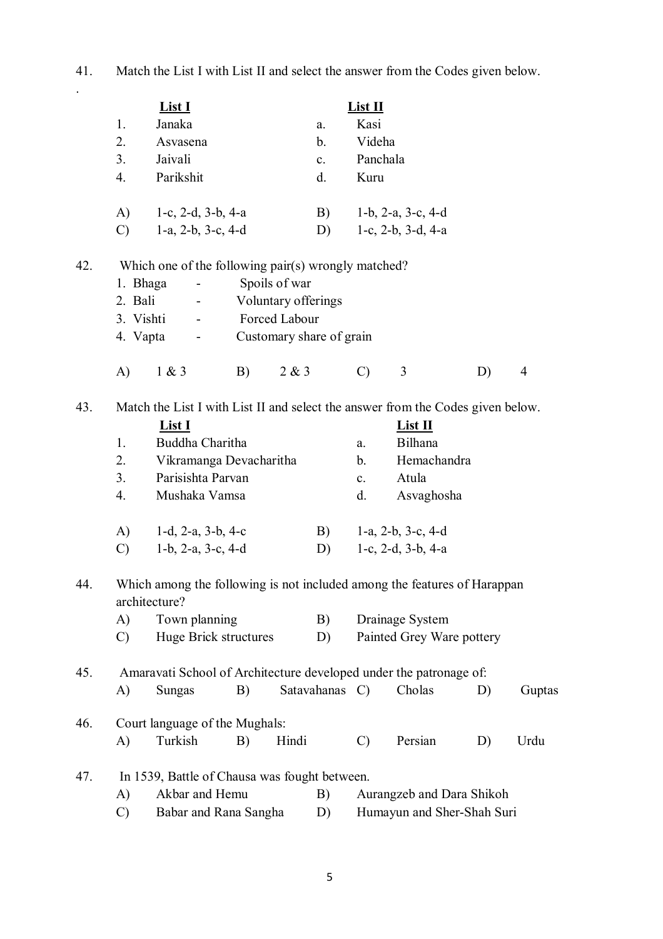41. Match the List I with List II and select the answer from the Codes given below.

|     |               | <b>List I</b>                                                                             |                      |                          |                | $List$ II         |                               |    |                |
|-----|---------------|-------------------------------------------------------------------------------------------|----------------------|--------------------------|----------------|-------------------|-------------------------------|----|----------------|
|     | 1.            | Janaka                                                                                    |                      |                          | a.             | Kasi              |                               |    |                |
|     | 2.            | Asvasena                                                                                  |                      |                          | $\mathbf{b}$ . | Videha            |                               |    |                |
|     | 3.            | Jaivali                                                                                   |                      |                          | $\mathbf{c}$ . |                   | Panchala                      |    |                |
|     | 4.            | Parikshit                                                                                 |                      |                          | d.             | Kuru              |                               |    |                |
|     |               |                                                                                           |                      |                          |                |                   |                               |    |                |
|     | $\bf{A}$      | 1-c, 2-d, 3-b, 4-a                                                                        |                      |                          | B)             |                   | $1-b$ , $2-a$ , $3-c$ , $4-d$ |    |                |
|     | $\mathcal{C}$ | 1-a, 2-b, $3-c$ , 4-d                                                                     |                      |                          | D)             |                   | 1-c, $2-b$ , $3-d$ , $4-a$    |    |                |
| 42. |               | Which one of the following pair(s) wrongly matched?                                       |                      |                          |                |                   |                               |    |                |
|     | 1. Bhaga      | $\overline{\phantom{a}}$                                                                  |                      | Spoils of war            |                |                   |                               |    |                |
|     | 2. Bali       | $\blacksquare$                                                                            |                      | Voluntary offerings      |                |                   |                               |    |                |
|     | 3. Vishti     | $\blacksquare$                                                                            | <b>Forced Labour</b> |                          |                |                   |                               |    |                |
|     |               | 4. Vapta<br>$\sim 100$                                                                    |                      | Customary share of grain |                |                   |                               |    |                |
|     | A)            | 1 & 3                                                                                     | B)                   | 2 & 3                    |                | $\mathcal{C}$     | 3                             | D) | $\overline{4}$ |
|     |               |                                                                                           |                      |                          |                |                   |                               |    |                |
| 43. |               | Match the List I with List II and select the answer from the Codes given below.           |                      |                          |                |                   |                               |    |                |
|     |               | List I                                                                                    |                      |                          |                |                   | List II                       |    |                |
|     | 1.            | Buddha Charitha                                                                           |                      |                          |                | a.                | <b>Bilhana</b>                |    |                |
|     | 2.            | Vikramanga Devacharitha                                                                   |                      |                          |                | $b_{\cdot}$       | Hemachandra                   |    |                |
|     | 3.            | Parisishta Parvan                                                                         |                      |                          |                |                   | Atula                         |    |                |
|     | 4.            | Mushaka Vamsa                                                                             |                      |                          |                | $c_{\cdot}$<br>d. | Asvaghosha                    |    |                |
|     |               |                                                                                           |                      |                          |                |                   |                               |    |                |
|     | A)            | $1-d$ , $2-a$ , $3-b$ , $4-c$                                                             |                      |                          | B)             |                   | $1-a$ , $2-b$ , $3-c$ , $4-d$ |    |                |
|     | $\mathcal{C}$ | 1-b, $2-a$ , $3-c$ , $4-d$                                                                |                      |                          | D)             |                   | 1-c, $2-d$ , $3-b$ , $4-a$    |    |                |
| 44. |               | Which among the following is not included among the features of Harappan<br>architecture? |                      |                          |                |                   |                               |    |                |
|     | A)            | Town planning                                                                             |                      |                          | B)             |                   | Drainage System               |    |                |
|     | $\mathcal{C}$ | Huge Brick structures                                                                     |                      |                          |                |                   | Painted Grey Ware pottery     |    |                |
|     |               |                                                                                           |                      |                          | D)             |                   |                               |    |                |
| 45. |               | Amaravati School of Architecture developed under the patronage of:                        |                      |                          |                |                   |                               |    |                |
|     | A)            | Sungas                                                                                    | B)                   |                          | Satavahanas C) |                   | Cholas                        | D) | Guptas         |
| 46. |               | Court language of the Mughals:                                                            |                      |                          |                |                   |                               |    |                |
|     | A)            | Turkish                                                                                   | B)                   | Hindi                    |                | $\mathcal{C}$     | Persian                       | D) | Urdu           |
| 47. |               | In 1539, Battle of Chausa was fought between.                                             |                      |                          |                |                   |                               |    |                |
|     | A)            | Akbar and Hemu                                                                            |                      |                          | B)             |                   | Aurangzeb and Dara Shikoh     |    |                |
|     | $\mathcal{C}$ | Babar and Rana Sangha                                                                     |                      |                          | D)             |                   | Humayun and Sher-Shah Suri    |    |                |
|     |               |                                                                                           |                      |                          |                |                   |                               |    |                |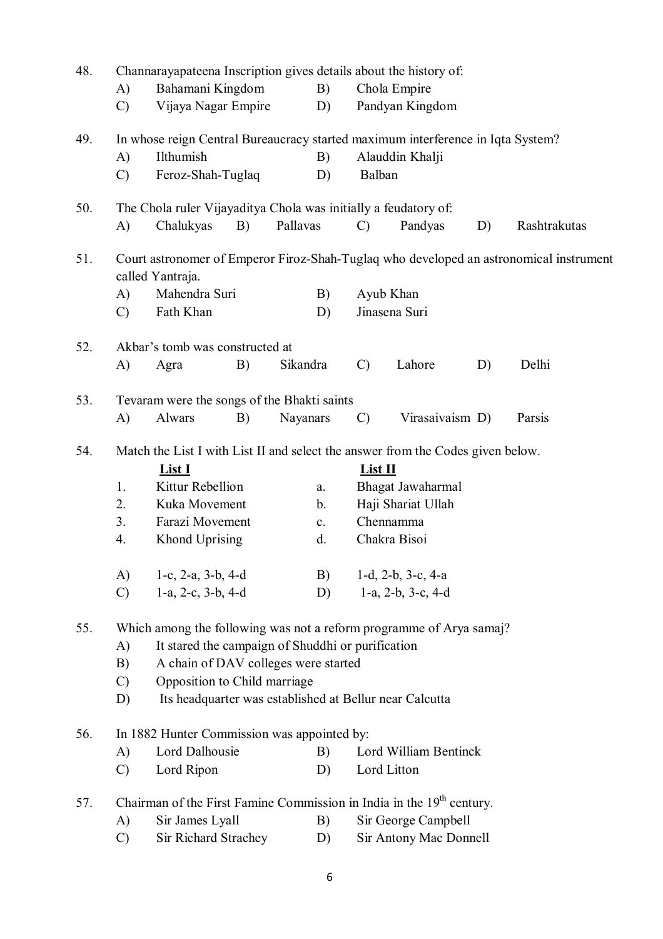| 48.<br>Channarayapateena Inscription gives details about the history of: |                                                                                                      |                                                                                   |    |          |                     |               |                                  |    |                                                                                        |
|--------------------------------------------------------------------------|------------------------------------------------------------------------------------------------------|-----------------------------------------------------------------------------------|----|----------|---------------------|---------------|----------------------------------|----|----------------------------------------------------------------------------------------|
|                                                                          | A)                                                                                                   | Bahamani Kingdom                                                                  |    |          | B)                  |               | Chola Empire                     |    |                                                                                        |
|                                                                          | $\mathcal{C}$                                                                                        | Vijaya Nagar Empire                                                               |    |          | D)                  |               | Pandyan Kingdom                  |    |                                                                                        |
| 49.                                                                      |                                                                                                      | In whose reign Central Bureaucracy started maximum interference in Iqta System?   |    |          |                     |               |                                  |    |                                                                                        |
|                                                                          | $\bf{A}$                                                                                             | Ilthumish                                                                         |    |          | B)                  |               | Alauddin Khalji                  |    |                                                                                        |
|                                                                          | $\mathcal{C}$                                                                                        | Feroz-Shah-Tuglaq                                                                 |    |          | D)                  | Balban        |                                  |    |                                                                                        |
| 50.                                                                      |                                                                                                      | The Chola ruler Vijayaditya Chola was initially a feudatory of:                   |    |          |                     |               |                                  |    |                                                                                        |
|                                                                          | A)                                                                                                   | Chalukyas                                                                         | B) | Pallavas |                     | $\mathcal{C}$ | Pandyas                          | D) | Rashtrakutas                                                                           |
| 51.                                                                      |                                                                                                      | called Yantraja.                                                                  |    |          |                     |               |                                  |    | Court astronomer of Emperor Firoz-Shah-Tuglaq who developed an astronomical instrument |
|                                                                          | A)                                                                                                   | Mahendra Suri                                                                     |    |          | B)                  |               | Ayub Khan                        |    |                                                                                        |
|                                                                          | $\mathcal{C}$                                                                                        | Fath Khan                                                                         |    |          | D)                  |               | Jinasena Suri                    |    |                                                                                        |
| 52.                                                                      | Akbar's tomb was constructed at                                                                      |                                                                                   |    |          |                     |               |                                  |    |                                                                                        |
|                                                                          | A)                                                                                                   | Agra                                                                              | B) | Sikandra |                     | $\mathcal{C}$ | Lahore                           | D) | Delhi                                                                                  |
| 53.                                                                      | Tevaram were the songs of the Bhakti saints                                                          |                                                                                   |    |          |                     |               |                                  |    |                                                                                        |
|                                                                          | A)                                                                                                   | Alwars                                                                            | B) | Nayanars |                     | $\mathcal{C}$ | Virasaivaism D)                  |    | Parsis                                                                                 |
| 54.                                                                      | Match the List I with List II and select the answer from the Codes given below.<br>List I<br>List II |                                                                                   |    |          |                     |               |                                  |    |                                                                                        |
|                                                                          | 1.                                                                                                   | Kittur Rebellion                                                                  |    |          | a.                  |               | Bhagat Jawaharmal                |    |                                                                                        |
|                                                                          | 2.                                                                                                   | Kuka Movement                                                                     |    |          | $b_{\cdot}$         |               | Haji Shariat Ullah               |    |                                                                                        |
|                                                                          | 3.                                                                                                   | Farazi Movement                                                                   |    |          | c.                  |               | Chennamma                        |    |                                                                                        |
|                                                                          | 4.                                                                                                   | <b>Khond Uprising</b>                                                             |    |          | d.                  |               | Chakra Bisoi                     |    |                                                                                        |
|                                                                          |                                                                                                      | A) $1-c$ , $2-a$ , $3-b$ , $4-d$                                                  |    |          |                     |               | B) $1-d$ , $2-b$ , $3-c$ , $4-a$ |    |                                                                                        |
|                                                                          | $\mathcal{C}$                                                                                        | 1-a, 2-c, $3-b$ , $4-d$                                                           |    |          |                     |               | D) $1-a, 2-b, 3-c, 4-d$          |    |                                                                                        |
| 55.                                                                      |                                                                                                      | Which among the following was not a reform programme of Arya samaj?               |    |          |                     |               |                                  |    |                                                                                        |
|                                                                          | A)                                                                                                   | It stared the campaign of Shuddhi or purification                                 |    |          |                     |               |                                  |    |                                                                                        |
|                                                                          | B)                                                                                                   | A chain of DAV colleges were started                                              |    |          |                     |               |                                  |    |                                                                                        |
|                                                                          | $\mathcal{C}$                                                                                        | Opposition to Child marriage                                                      |    |          |                     |               |                                  |    |                                                                                        |
|                                                                          | Its headquarter was established at Bellur near Calcutta<br>D)                                        |                                                                                   |    |          |                     |               |                                  |    |                                                                                        |
| 56.                                                                      |                                                                                                      | In 1882 Hunter Commission was appointed by:                                       |    |          |                     |               |                                  |    |                                                                                        |
|                                                                          | A)                                                                                                   | Lord Dalhousie                                                                    |    |          | B)                  |               |                                  |    |                                                                                        |
|                                                                          | $\mathcal{C}$                                                                                        | Lord Ripon                                                                        |    |          | D)                  |               | Lord Litton                      |    |                                                                                        |
| 57.                                                                      |                                                                                                      | Chairman of the First Famine Commission in India in the 19 <sup>th</sup> century. |    |          |                     |               |                                  |    |                                                                                        |
|                                                                          | B)<br>A)<br>Sir James Lyall                                                                          |                                                                                   |    |          | Sir George Campbell |               |                                  |    |                                                                                        |
|                                                                          | Sir Richard Strachey<br>Sir Antony Mac Donnell<br>$\mathcal{C}$<br>D)                                |                                                                                   |    |          |                     |               |                                  |    |                                                                                        |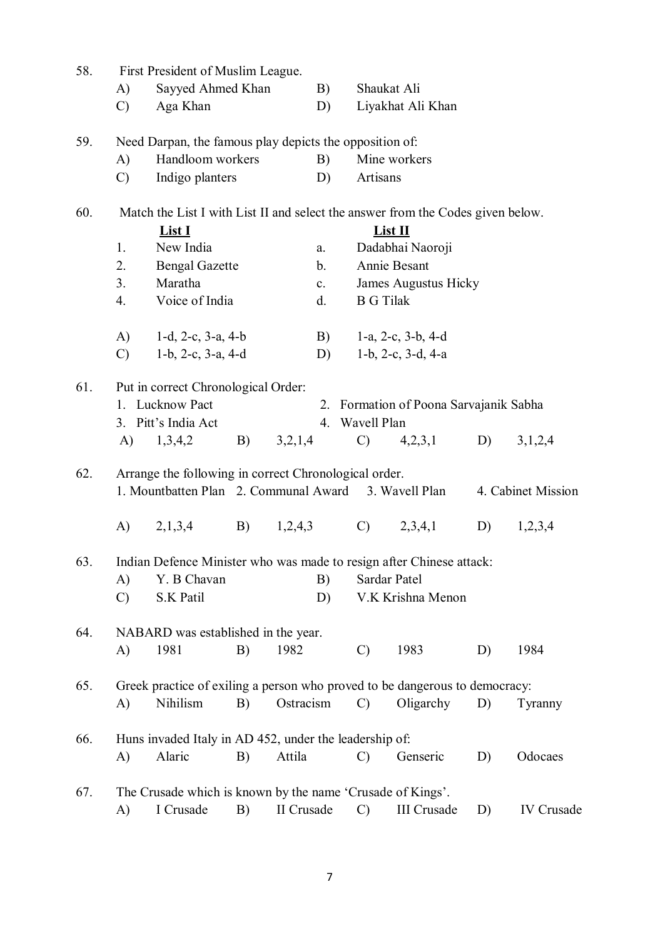| 58. |               | First President of Muslim League.                                           |            |            |                                                                                 |                 |                                        |    |                    |  |  |  |
|-----|---------------|-----------------------------------------------------------------------------|------------|------------|---------------------------------------------------------------------------------|-----------------|----------------------------------------|----|--------------------|--|--|--|
|     | A)            | Sayyed Ahmed Khan                                                           |            | B)         |                                                                                 | Shaukat Ali     |                                        |    |                    |  |  |  |
|     | $\mathcal{C}$ | Aga Khan                                                                    |            | D)         |                                                                                 |                 | Liyakhat Ali Khan                      |    |                    |  |  |  |
| 59. |               | Need Darpan, the famous play depicts the opposition of:                     |            |            |                                                                                 |                 |                                        |    |                    |  |  |  |
|     | A)            | Handloom workers                                                            |            | B)         |                                                                                 |                 | Mine workers                           |    |                    |  |  |  |
|     | $\mathcal{C}$ | Indigo planters                                                             |            | D)         |                                                                                 | Artisans        |                                        |    |                    |  |  |  |
| 60. |               |                                                                             |            |            | Match the List I with List II and select the answer from the Codes given below. |                 |                                        |    |                    |  |  |  |
|     |               | List I                                                                      |            |            |                                                                                 |                 | List II                                |    |                    |  |  |  |
|     | 1.            | New India                                                                   |            | $a$ .      |                                                                                 |                 | Dadabhai Naoroji                       |    |                    |  |  |  |
|     | 2.            | <b>Bengal Gazette</b>                                                       |            |            | Annie Besant<br>$\mathbf{b}$ .                                                  |                 |                                        |    |                    |  |  |  |
|     | 3.            | Maratha                                                                     |            |            | James Augustus Hicky<br>$c_{\cdot}$                                             |                 |                                        |    |                    |  |  |  |
|     | 4.            | Voice of India                                                              |            |            | <b>B</b> G Tilak<br>d.                                                          |                 |                                        |    |                    |  |  |  |
|     | (A)           | 1-d, 2-c, 3-a, 4-b                                                          |            |            |                                                                                 |                 | B) $1-a, 2-c, 3-b, 4-d$                |    |                    |  |  |  |
|     | $\mathcal{C}$ | $1-b$ , $2-c$ , $3-a$ , $4-d$                                               |            |            |                                                                                 | D)              | $1-b$ , $2-c$ , $3-d$ , $4-a$          |    |                    |  |  |  |
| 61. |               | Put in correct Chronological Order:                                         |            |            |                                                                                 |                 |                                        |    |                    |  |  |  |
|     |               | 1. Lucknow Pact                                                             |            |            |                                                                                 |                 | 2. Formation of Poona Sarvajanik Sabha |    |                    |  |  |  |
|     |               | 3. Pitt's India Act                                                         |            |            |                                                                                 | 4. Wavell Plan  |                                        |    |                    |  |  |  |
|     | A)            | 1,3,4,2                                                                     | B)         | 3,2,1,4    |                                                                                 | $\mathcal{C}$   | $(4,2,3,1)$ D)                         |    | 3,1,2,4            |  |  |  |
| 62. |               | Arrange the following in correct Chronological order.                       |            |            |                                                                                 |                 |                                        |    |                    |  |  |  |
|     |               | 1. Mountbatten Plan 2. Communal Award 3. Wavell Plan                        |            |            |                                                                                 |                 |                                        |    | 4. Cabinet Mission |  |  |  |
|     | A)            | 2,1,3,4                                                                     | <b>B</b> ) | 1,2,4,3    |                                                                                 | $\mathcal{C}$ ) | 2,3,4,1                                | D) | 1,2,3,4            |  |  |  |
| 63. |               | Indian Defence Minister who was made to resign after Chinese attack:        |            |            |                                                                                 |                 |                                        |    |                    |  |  |  |
|     | $\mathbf{A}$  | Y. B Chavan                                                                 |            | B)         |                                                                                 |                 | Sardar Patel                           |    |                    |  |  |  |
|     | $\mathcal{C}$ | S.K Patil                                                                   |            | D)         |                                                                                 |                 | V.K Krishna Menon                      |    |                    |  |  |  |
| 64. |               | NABARD was established in the year.                                         |            |            |                                                                                 |                 |                                        |    |                    |  |  |  |
|     | A)            | 1981                                                                        | B)         | 1982       |                                                                                 | $\mathcal{C}$   | 1983                                   | D) | 1984               |  |  |  |
| 65. |               | Greek practice of exiling a person who proved to be dangerous to democracy: |            |            |                                                                                 |                 |                                        |    |                    |  |  |  |
|     | A)            | Nihilism                                                                    | B)         | Ostracism  |                                                                                 | $\mathcal{C}$   | Oligarchy                              | D) | Tyranny            |  |  |  |
| 66. |               | Huns invaded Italy in AD 452, under the leadership of:                      |            |            |                                                                                 |                 |                                        |    |                    |  |  |  |
|     | A)            | Alaric                                                                      | B)         | Attila     |                                                                                 | $\mathcal{C}$   | Genseric                               | D) | Odocaes            |  |  |  |
| 67. |               | The Crusade which is known by the name 'Crusade of Kings'.                  |            |            |                                                                                 |                 |                                        |    |                    |  |  |  |
|     | A)            | I Crusade                                                                   | B)         | II Crusade |                                                                                 | $\mathcal{C}$   | <b>III</b> Crusade                     | D) | <b>IV</b> Crusade  |  |  |  |

7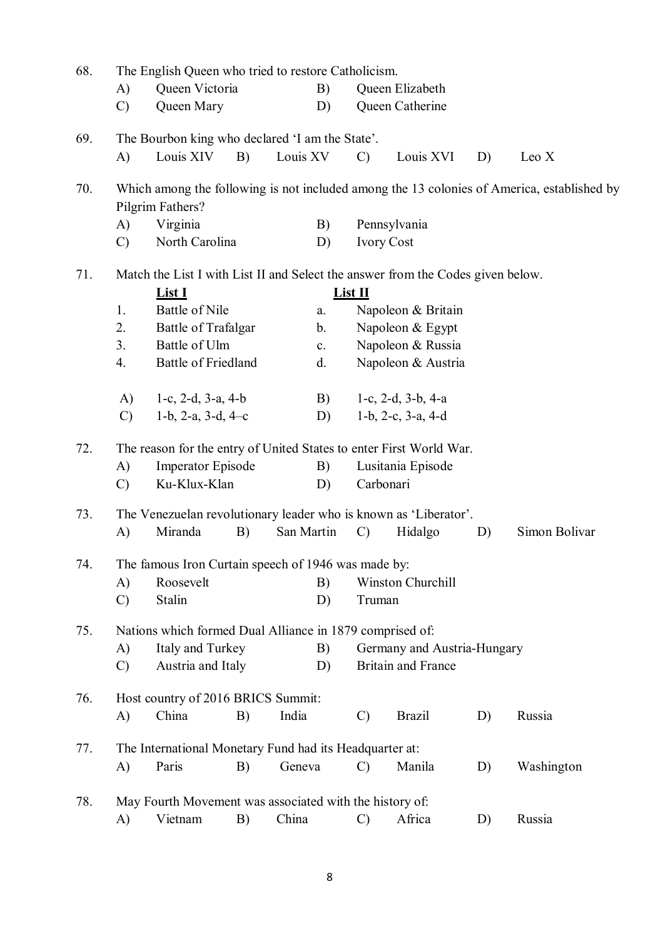| 68.<br>The English Queen who tried to restore Catholicism. |               |                                                                                 |    |            |                |                   |                               |    |                                                                                            |  |
|------------------------------------------------------------|---------------|---------------------------------------------------------------------------------|----|------------|----------------|-------------------|-------------------------------|----|--------------------------------------------------------------------------------------------|--|
|                                                            | A)            | Queen Victoria                                                                  |    |            | B)             |                   | Queen Elizabeth               |    |                                                                                            |  |
|                                                            | $\mathcal{C}$ | Queen Mary                                                                      |    |            | D)             |                   | Queen Catherine               |    |                                                                                            |  |
| 69.                                                        |               | The Bourbon king who declared 'I am the State'.                                 |    |            |                |                   |                               |    |                                                                                            |  |
|                                                            | A)            | Louis XIV                                                                       | B) | Louis XV   |                | $\mathcal{C}$     | Louis XVI                     | D) | Leo X                                                                                      |  |
| 70.                                                        |               |                                                                                 |    |            |                |                   |                               |    | Which among the following is not included among the 13 colonies of America, established by |  |
|                                                            |               | Pilgrim Fathers?                                                                |    |            |                |                   |                               |    |                                                                                            |  |
|                                                            | A)            | Virginia                                                                        |    |            | B)             |                   | Pennsylvania                  |    |                                                                                            |  |
|                                                            | $\mathcal{C}$ | North Carolina                                                                  |    |            | D)             | <b>Ivory Cost</b> |                               |    |                                                                                            |  |
| 71.                                                        |               | Match the List I with List II and Select the answer from the Codes given below. |    |            |                |                   |                               |    |                                                                                            |  |
|                                                            |               | <u>List I</u>                                                                   |    |            | $List$ II      |                   |                               |    |                                                                                            |  |
|                                                            | 1.            | Battle of Nile                                                                  |    |            | a.             |                   | Napoleon & Britain            |    |                                                                                            |  |
|                                                            | 2.            | Battle of Trafalgar                                                             |    |            | b.             |                   | Napoleon & Egypt              |    |                                                                                            |  |
|                                                            | 3.            | Battle of Ulm                                                                   |    |            | $\mathbf{c}$ . |                   | Napoleon & Russia             |    |                                                                                            |  |
|                                                            | 4.            | Battle of Friedland                                                             |    |            | d.             |                   | Napoleon & Austria            |    |                                                                                            |  |
|                                                            | A)            | 1-c, 2-d, $3-a$ , $4-b$                                                         |    |            | B)             |                   | 1-c, $2-d$ , $3-b$ , $4-a$    |    |                                                                                            |  |
|                                                            | $\mathcal{C}$ | 1-b, 2-a, 3-d, $4-c$                                                            |    |            | D)             |                   | $1-b$ , $2-c$ , $3-a$ , $4-d$ |    |                                                                                            |  |
|                                                            |               |                                                                                 |    |            |                |                   |                               |    |                                                                                            |  |
| 72.                                                        |               | The reason for the entry of United States to enter First World War.             |    |            |                |                   |                               |    |                                                                                            |  |
|                                                            | A)            | <b>Imperator Episode</b>                                                        |    |            | B)             |                   | Lusitania Episode             |    |                                                                                            |  |
|                                                            | $\mathcal{C}$ | Ku-Klux-Klan                                                                    |    |            | D)             | Carbonari         |                               |    |                                                                                            |  |
| 73.                                                        |               | The Venezuelan revolutionary leader who is known as 'Liberator'.                |    |            |                |                   |                               |    |                                                                                            |  |
|                                                            | A)            | Miranda                                                                         | B) | San Martin |                | $\mathcal{C}$     | Hidalgo                       | D) | Simon Bolivar                                                                              |  |
| 74.                                                        |               | The famous Iron Curtain speech of 1946 was made by:                             |    |            |                |                   |                               |    |                                                                                            |  |
|                                                            | A)            | Roosevelt                                                                       |    |            | B)             |                   | <b>Winston Churchill</b>      |    |                                                                                            |  |
|                                                            | $\mathcal{C}$ | Stalin                                                                          |    |            | D)             | Truman            |                               |    |                                                                                            |  |
| 75.                                                        |               | Nations which formed Dual Alliance in 1879 comprised of:                        |    |            |                |                   |                               |    |                                                                                            |  |
|                                                            | A)            | Italy and Turkey                                                                |    |            | B)             |                   | Germany and Austria-Hungary   |    |                                                                                            |  |
|                                                            | $\mathcal{C}$ | Austria and Italy                                                               |    |            | D)             |                   | <b>Britain and France</b>     |    |                                                                                            |  |
| 76.                                                        |               | Host country of 2016 BRICS Summit:                                              |    |            |                |                   |                               |    |                                                                                            |  |
|                                                            | A)            | China                                                                           | B) | India      |                | $\mathcal{C}$     | <b>Brazil</b>                 | D) | Russia                                                                                     |  |
| 77.                                                        |               | The International Monetary Fund had its Headquarter at:                         |    |            |                |                   |                               |    |                                                                                            |  |
|                                                            | A)            | Paris                                                                           | B) | Geneva     |                | $\mathcal{C}$     | Manila                        | D) | Washington                                                                                 |  |
|                                                            |               |                                                                                 |    |            |                |                   |                               |    |                                                                                            |  |
| 78.                                                        |               | May Fourth Movement was associated with the history of:                         |    |            |                |                   |                               |    |                                                                                            |  |
|                                                            | A)            | Vietnam                                                                         | B) | China      |                | $\mathcal{C}$     | Africa                        | D) | Russia                                                                                     |  |
|                                                            |               |                                                                                 |    |            |                |                   |                               |    |                                                                                            |  |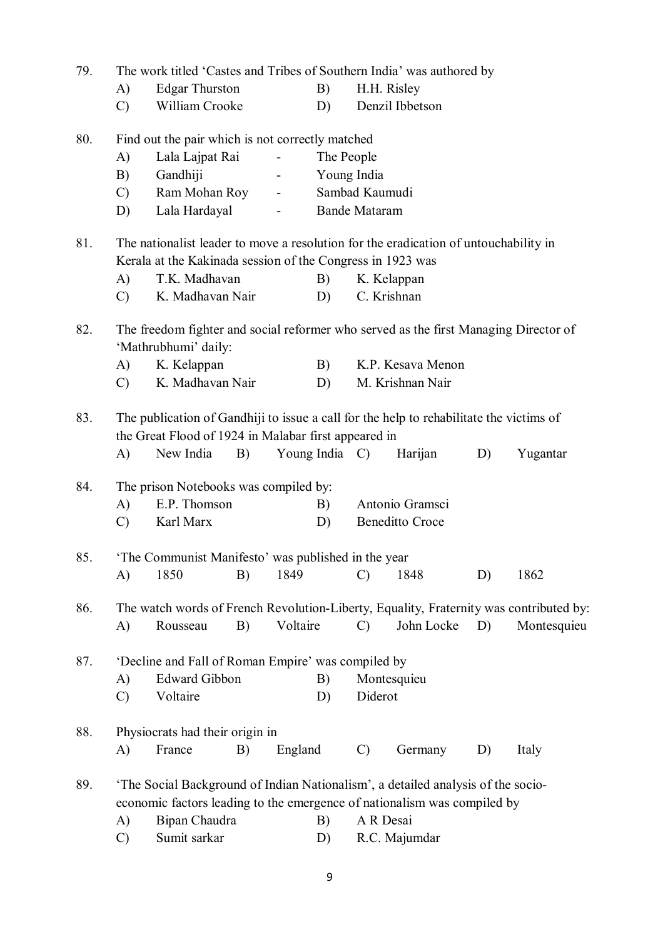| 79. | The work titled 'Castes and Tribes of Southern India' was authored by |  |  |  |  |  |  |  |
|-----|-----------------------------------------------------------------------|--|--|--|--|--|--|--|
|-----|-----------------------------------------------------------------------|--|--|--|--|--|--|--|

- A) Edgar Thurston B) H.H. Risley
- C) William Crooke D) Denzil Ibbetson

80. Find out the pair which is not correctly matched

A) Lala Lajpat Rai - The People B) Gandhiji - Young India C) Ram Mohan Roy - Sambad Kaumudi D) Lala Hardayal - Bande Mataram 81. The nationalist leader to move a resolution for the eradication of untouchability in Kerala at the Kakinada session of the Congress in 1923 was A) T.K. Madhavan B) K. Kelappan C) K. Madhavan Nair D) C. Krishnan 82. The freedom fighter and social reformer who served as the first Managing Director of 'Mathrubhumi' daily: A) K. Kelappan B) K.P. Kesava Menon C) K. Madhavan Nair D) M. Krishnan Nair 83. The publication of Gandhiji to issue a call for the help to rehabilitate the victims of the Great Flood of 1924 in Malabar first appeared in A) New India B) Young India C) Harijan D) Yugantar 84. The prison Notebooks was compiled by: A) E.P. Thomson B) Antonio Gramsci C) Karl Marx D) Beneditto Croce 85. 'The Communist Manifesto' was published in the year A) 1850 B) 1849 C) 1848 D) 1862 86. The watch words of French Revolution-Liberty, Equality, Fraternity was contributed by: A) Rousseau B) Voltaire C) John Locke D) Montesquieu 87. 'Decline and Fall of Roman Empire' was compiled by A) Edward Gibbon B) Montesquieu C) Voltaire D) Diderot 88. Physiocrats had their origin in A) France B) England C) Germany D) Italy 89. 'The Social Background of Indian Nationalism', a detailed analysis of the socioeconomic factors leading to the emergence of nationalism was compiled by A) Bipan Chaudra B) A R Desai C) Sumit sarkar D) R.C. Majumdar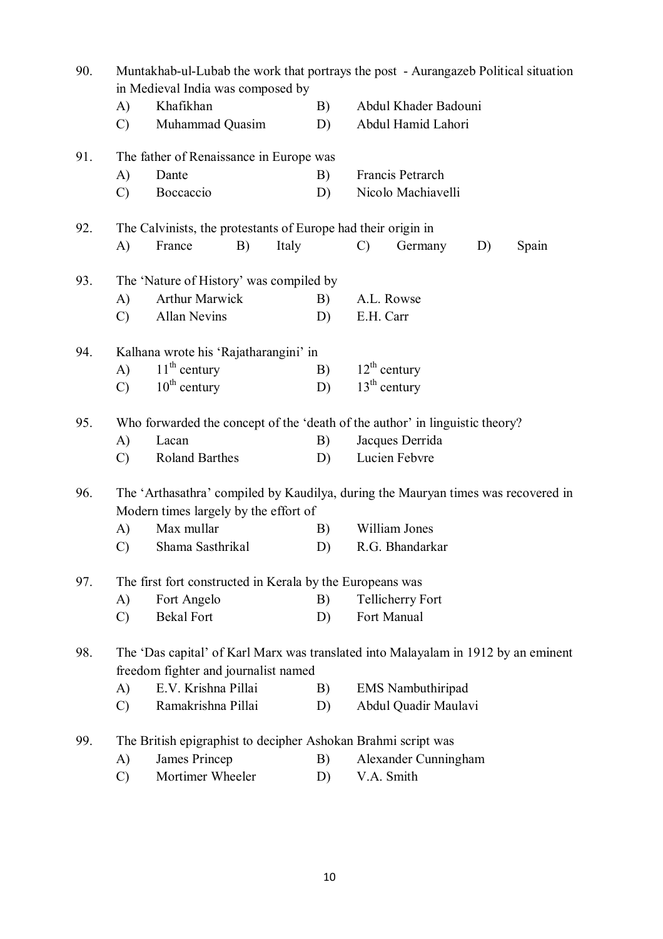| 90.<br>Muntakhab-ul-Lubab the work that portrays the post - Aurangazeb Political situation |                                                                                   |                                                                                    |       |    |                      |                          |    |       |  |  |
|--------------------------------------------------------------------------------------------|-----------------------------------------------------------------------------------|------------------------------------------------------------------------------------|-------|----|----------------------|--------------------------|----|-------|--|--|
|                                                                                            |                                                                                   | in Medieval India was composed by                                                  |       |    |                      |                          |    |       |  |  |
|                                                                                            | A)                                                                                | Khafikhan                                                                          |       | B) |                      | Abdul Khader Badouni     |    |       |  |  |
|                                                                                            | $\mathcal{C}$                                                                     | Muhammad Quasim                                                                    |       | D) |                      | Abdul Hamid Lahori       |    |       |  |  |
| 91.                                                                                        |                                                                                   | The father of Renaissance in Europe was                                            |       |    |                      |                          |    |       |  |  |
|                                                                                            | A)                                                                                | Dante                                                                              |       | B) |                      | Francis Petrarch         |    |       |  |  |
|                                                                                            | $\mathcal{C}$                                                                     | Boccaccio                                                                          |       | D) |                      | Nicolo Machiavelli       |    |       |  |  |
| 92.                                                                                        |                                                                                   | The Calvinists, the protestants of Europe had their origin in                      |       |    |                      |                          |    |       |  |  |
|                                                                                            | A)                                                                                | France<br>B)                                                                       | Italy |    | $\mathcal{C}$        | Germany                  | D) | Spain |  |  |
| 93.                                                                                        |                                                                                   | The 'Nature of History' was compiled by                                            |       |    |                      |                          |    |       |  |  |
|                                                                                            | A)                                                                                | Arthur Marwick                                                                     |       | B) |                      | A.L. Rowse               |    |       |  |  |
|                                                                                            | $\mathcal{C}$                                                                     | <b>Allan Nevins</b>                                                                |       | D) | E.H. Carr            |                          |    |       |  |  |
| 94.                                                                                        |                                                                                   | Kalhana wrote his 'Rajatharangini' in                                              |       |    |                      |                          |    |       |  |  |
|                                                                                            | A)                                                                                | $11th$ century                                                                     |       | B) |                      | $12^{th}$ century        |    |       |  |  |
|                                                                                            | $\mathcal{C}$                                                                     | $10^{th}$ century                                                                  |       | D) |                      | $13th$ century           |    |       |  |  |
| 95.                                                                                        |                                                                                   | Who forwarded the concept of the 'death of the author' in linguistic theory?       |       |    |                      |                          |    |       |  |  |
|                                                                                            | A)                                                                                | Lacan                                                                              |       | B) |                      | Jacques Derrida          |    |       |  |  |
|                                                                                            | $\mathcal{C}$                                                                     | Roland Barthes                                                                     |       | D) |                      | Lucien Febvre            |    |       |  |  |
|                                                                                            |                                                                                   |                                                                                    |       |    |                      |                          |    |       |  |  |
| 96.                                                                                        | The 'Arthasathra' compiled by Kaudilya, during the Mauryan times was recovered in |                                                                                    |       |    |                      |                          |    |       |  |  |
|                                                                                            |                                                                                   | Modern times largely by the effort of                                              |       |    |                      |                          |    |       |  |  |
|                                                                                            | A)                                                                                | Max mullar                                                                         |       | B) |                      | William Jones            |    |       |  |  |
|                                                                                            | $\mathcal{C}$                                                                     | Shama Sasthrikal                                                                   |       | D) |                      | R.G. Bhandarkar          |    |       |  |  |
| 97.                                                                                        |                                                                                   | The first fort constructed in Kerala by the Europeans was                          |       |    |                      |                          |    |       |  |  |
|                                                                                            | A)                                                                                | Fort Angelo                                                                        |       | B) |                      | <b>Tellicherry Fort</b>  |    |       |  |  |
|                                                                                            | $\mathcal{C}$                                                                     | <b>Bekal Fort</b>                                                                  |       | D) |                      | Fort Manual              |    |       |  |  |
| 98.                                                                                        |                                                                                   | The 'Das capital' of Karl Marx was translated into Malayalam in 1912 by an eminent |       |    |                      |                          |    |       |  |  |
|                                                                                            |                                                                                   | freedom fighter and journalist named                                               |       |    |                      |                          |    |       |  |  |
|                                                                                            | A)                                                                                | E.V. Krishna Pillai                                                                |       | B) |                      | <b>EMS</b> Nambuthiripad |    |       |  |  |
|                                                                                            | $\mathcal{C}$                                                                     | Ramakrishna Pillai                                                                 |       | D) |                      | Abdul Quadir Maulavi     |    |       |  |  |
| 99.                                                                                        | The British epigraphist to decipher Ashokan Brahmi script was                     |                                                                                    |       |    |                      |                          |    |       |  |  |
|                                                                                            | A)                                                                                | James Princep                                                                      |       | B) | Alexander Cunningham |                          |    |       |  |  |
|                                                                                            | $\mathcal{C}$                                                                     | Mortimer Wheeler                                                                   |       | D) |                      | V.A. Smith               |    |       |  |  |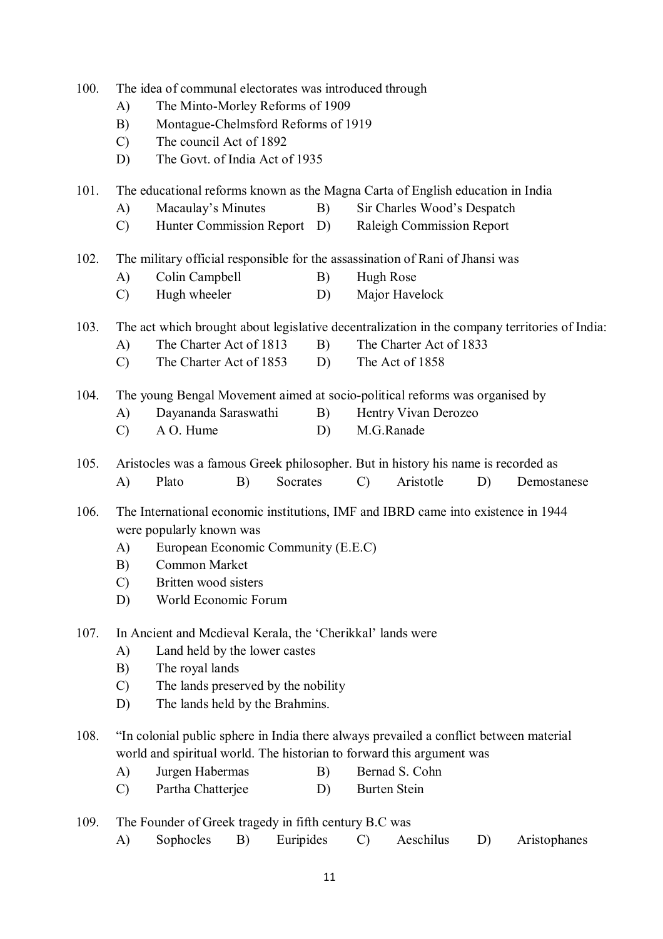| 100. | A)<br>B)<br>$\mathcal{C}$<br>D)                                                   | The idea of communal electorates was introduced through<br>The Minto-Morley Reforms of 1909<br>Montague-Chelmsford Reforms of 1919<br>The council Act of 1892<br>The Govt. of India Act of 1935 |           |                             |                                  |    |              |  |  |  |
|------|-----------------------------------------------------------------------------------|-------------------------------------------------------------------------------------------------------------------------------------------------------------------------------------------------|-----------|-----------------------------|----------------------------------|----|--------------|--|--|--|
| 101. |                                                                                   | The educational reforms known as the Magna Carta of English education in India                                                                                                                  |           |                             |                                  |    |              |  |  |  |
|      | A)                                                                                | Macaulay's Minutes                                                                                                                                                                              | B)        | Sir Charles Wood's Despatch |                                  |    |              |  |  |  |
|      | $\mathcal{C}$                                                                     | Hunter Commission Report                                                                                                                                                                        | D)        |                             | <b>Raleigh Commission Report</b> |    |              |  |  |  |
| 102. |                                                                                   | The military official responsible for the assassination of Rani of Jhansi was                                                                                                                   |           |                             |                                  |    |              |  |  |  |
|      | A)                                                                                | Colin Campbell                                                                                                                                                                                  | B)        | Hugh Rose                   |                                  |    |              |  |  |  |
|      | $\mathcal{C}$                                                                     | Hugh wheeler                                                                                                                                                                                    | D)        |                             | Major Havelock                   |    |              |  |  |  |
| 103. |                                                                                   | The act which brought about legislative decentralization in the company territories of India:                                                                                                   |           |                             |                                  |    |              |  |  |  |
|      | A)                                                                                | The Charter Act of 1813<br>The Charter Act of 1833<br>B)                                                                                                                                        |           |                             |                                  |    |              |  |  |  |
|      | $\mathcal{C}$                                                                     | The Charter Act of 1853                                                                                                                                                                         | D)        |                             | The Act of 1858                  |    |              |  |  |  |
| 104. | The young Bengal Movement aimed at socio-political reforms was organised by       |                                                                                                                                                                                                 |           |                             |                                  |    |              |  |  |  |
|      | A)                                                                                | Dayananda Saraswathi                                                                                                                                                                            | B)        |                             | Hentry Vivan Derozeo             |    |              |  |  |  |
|      | $\mathcal{C}$                                                                     | A O. Hume                                                                                                                                                                                       | D)        |                             | M.G.Ranade                       |    |              |  |  |  |
| 105. | Aristocles was a famous Greek philosopher. But in history his name is recorded as |                                                                                                                                                                                                 |           |                             |                                  |    |              |  |  |  |
|      | A)                                                                                | Plato<br>B)                                                                                                                                                                                     | Socrates  | $\mathcal{C}$               | Aristotle                        | D) | Demostanese  |  |  |  |
| 106. |                                                                                   | The International economic institutions, IMF and IBRD came into existence in 1944                                                                                                               |           |                             |                                  |    |              |  |  |  |
|      |                                                                                   | were popularly known was                                                                                                                                                                        |           |                             |                                  |    |              |  |  |  |
|      | A)                                                                                | European Economic Community (E.E.C)                                                                                                                                                             |           |                             |                                  |    |              |  |  |  |
|      | B)                                                                                | Common Market                                                                                                                                                                                   |           |                             |                                  |    |              |  |  |  |
|      | $\mathcal{C}$                                                                     | Britten wood sisters                                                                                                                                                                            |           |                             |                                  |    |              |  |  |  |
|      | D)                                                                                | World Economic Forum                                                                                                                                                                            |           |                             |                                  |    |              |  |  |  |
| 107. |                                                                                   | In Ancient and Mcdieval Kerala, the 'Cherikkal' lands were                                                                                                                                      |           |                             |                                  |    |              |  |  |  |
|      | A)                                                                                | Land held by the lower castes                                                                                                                                                                   |           |                             |                                  |    |              |  |  |  |
|      | B)                                                                                | The royal lands                                                                                                                                                                                 |           |                             |                                  |    |              |  |  |  |
|      | $\mathcal{C}$                                                                     | The lands preserved by the nobility                                                                                                                                                             |           |                             |                                  |    |              |  |  |  |
|      | D)                                                                                | The lands held by the Brahmins.                                                                                                                                                                 |           |                             |                                  |    |              |  |  |  |
| 108. |                                                                                   | "In colonial public sphere in India there always prevailed a conflict between material                                                                                                          |           |                             |                                  |    |              |  |  |  |
|      |                                                                                   | world and spiritual world. The historian to forward this argument was                                                                                                                           |           |                             |                                  |    |              |  |  |  |
|      | A)                                                                                | Jurgen Habermas                                                                                                                                                                                 | B)        |                             | Bernad S. Cohn                   |    |              |  |  |  |
|      | $\mathcal{C}$                                                                     | Partha Chatterjee                                                                                                                                                                               | D)        |                             | <b>Burten Stein</b>              |    |              |  |  |  |
| 109. |                                                                                   | The Founder of Greek tragedy in fifth century B.C was                                                                                                                                           |           |                             |                                  |    |              |  |  |  |
|      | A)                                                                                | Sophocles<br>B)                                                                                                                                                                                 | Euripides | $\mathcal{C}$               | Aeschilus                        | D) | Aristophanes |  |  |  |